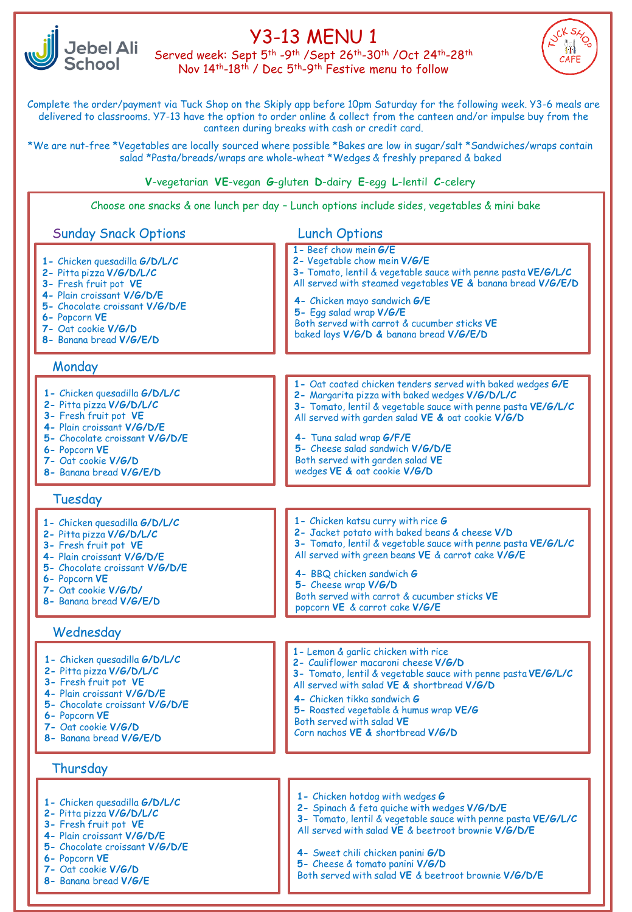

# Y3-13 MENU 1

Served week: Sept 5th -9th /Sept 26th-30th /Oct 24th-28th Nov 14th-18th / Dec 5th-9th Festive menu to follow



Complete the order/payment via Tuck Shop on the Skiply app before 10pm Saturday for the following week. Y3-6 meals are delivered to classrooms. Y7-13 have the option to order online & collect from the canteen and/or impulse buy from the canteen during breaks with cash or credit card.

\*We are nut-free \*Vegetables are locally sourced where possible \*Bakes are low in sugar/salt \*Sandwiches/wraps contain salad \*Pasta/breads/wraps are whole-wheat \*Wedges & freshly prepared & baked

**V**-vegetarian **VE**-vegan **G**-gluten **D**-dairy **E**-egg **L**-lentil **C**-celery

Choose one snacks & one lunch per day – Lunch options include sides, vegetables & mini bake

### - Both served with garden salad **VE 1-** Chicken quesadilla **G/D/L/C 2-** Pitta pizza **V/G/D/L/C 3-** Fresh fruit pot **VE 4-** Plain croissant **V/G/D/E 5-** Chocolate croissant **V/G/D/E 6-** Popcorn **VE 7-** Oat cookie **V/G/D 8-** Banana bread **V/G/E/D** Sunday Snack Options **1-** Chicken quesadilla **G/D/L/C 2-** Pitta pizza **V/G/D/L/C 3-** Fresh fruit pot **VE 4-** Plain croissant **V/G/D/E 5-** Chocolate croissant **V/G/D/E 6-** Popcorn **VE 7-** Oat cookie **V/G/D 8-** Banana bread **V/G/E/D Monday 1-** Chicken quesadilla **G/D/L/C 2-** Pitta pizza **V/G/D/L/C 3-** Fresh fruit pot **VE 4-** Plain croissant **V/G/D/E 5-** Chocolate croissant **V/G/D/E 6-** Popcorn **VE 7-** Oat cookie **V/G/D/ 8-** Banana bread **V/G/E/D** Tuesday **1-** Chicken quesadilla **G/D/L/C 2-** Pitta pizza **V/G/D/L/C 3-** Fresh fruit pot **VE 4-** Plain croissant **V/G/D/E 5-** Chocolate croissant **V/G/D/E 6-** Popcorn **VE 7-** Oat cookie **V/G/D 8-** Banana bread **V/G/E/D** Wednesday **1-** Beef chow mein **G/E 2-** Vegetable chow mein **V/G/E 3-** Tomato, lentil & vegetable sauce with penne pasta **VE/G/L/C** All served with steamed vegetables **VE &** banana bread **V/G/E/D 4-** Chicken mayo sandwich **G/E 5-** Egg salad wrap **V/G/E** Both served with carrot & cucumber sticks **VE**  baked lays **V/G/D &** banana bread **V/G/E/D 4-** Tuna salad wrap **G/F/E 5-** Cheese salad sandwich **V/G/D/E** wedges **VE &** oat cookie **V/G/D 1-** Oat coated chicken tenders served with baked wedges **G/E 2-** Margarita pizza with baked wedges **V/G/D/L/C 3-** Tomato, lentil & vegetable sauce with penne pasta **VE/G/L/C** All served with garden salad **VE &** oat cookie **V/G/D 1-** Chicken katsu curry with rice **G 2-** Jacket potato with baked beans & cheese **V/D 3-** Tomato, lentil & vegetable sauce with penne pasta **VE/G/L/C** All served with green beans **VE** & carrot cake **V/G/E 4-** BBQ chicken sandwich **G 5-** Cheese wrap **V/G/D** Both served with carrot & cucumber sticks **VE** popcorn **VE** & carrot cake **V/G/E 1-** Lemon & garlic chicken with rice **2-** Cauliflower macaroni cheese **V/G/D 3-** Tomato, lentil & vegetable sauce with penne pasta **VE/G/L/C** All served with salad **VE &** shortbread **V/G/D 4-** Chicken tikka sandwich **G 5-** Roasted vegetable & humus wrap **VE/G** Both served with salad **VE**  Corn nachos **VE &** shortbread **V/G/D 1-** Chicken hotdog with wedges **G 2-** Spinach & feta quiche with wedges **V/G/D/E 3-** Tomato, lentil & vegetable sauce with penne pasta **VE/G/L/C** All served with salad **VE** & beetroot brownie **V/G/D/E 4-** Sweet chili chicken panini **G/D 5-** Cheese & tomato panini **V/G/D** Both served with salad **VE** & beetroot brownie **V/G/D/E** Thursday **1-** Chicken quesadilla **G/D/L/C 2-** Pitta pizza **V/G/D/L/C 3-** Fresh fruit pot **VE 4-** Plain croissant **V/G/D/E 5-** Chocolate croissant **V/G/D/E 6-** Popcorn **VE 7-** Oat cookie **V/G/D 8-** Banana bread **V/G/E** Lunch Options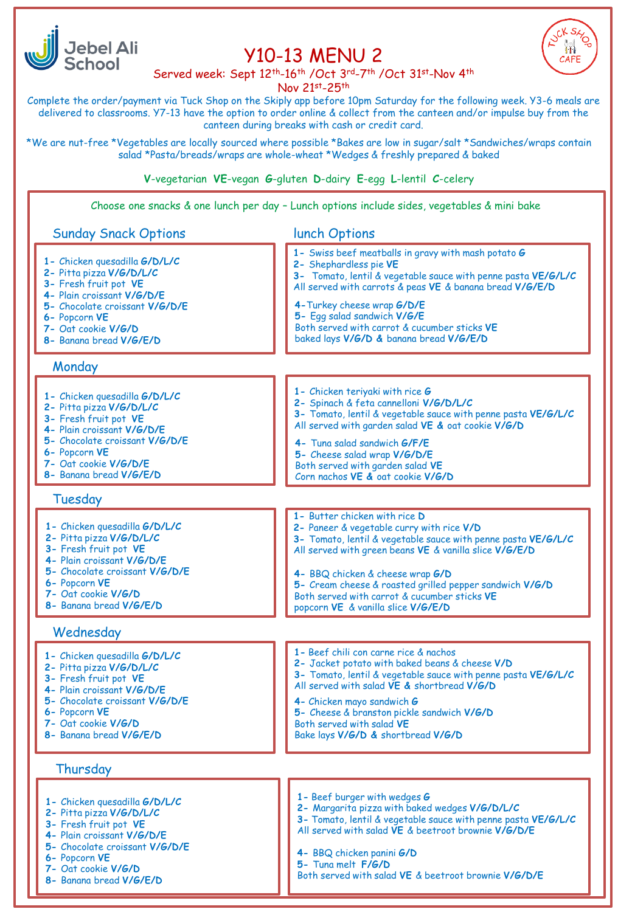

## Y10-13 MENU 2



Served week: Sept 12th-16th /Oct 3rd-7th /Oct 31st-Nov 4th

Nov 21st-25th

Complete the order/payment via Tuck Shop on the Skiply app before 10pm Saturday for the following week. Y3-6 meals are delivered to classrooms. Y7-13 have the option to order online & collect from the canteen and/or impulse buy from the canteen during breaks with cash or credit card.

\*We are nut-free \*Vegetables are locally sourced where possible \*Bakes are low in sugar/salt \*Sandwiches/wraps contain salad \*Pasta/breads/wraps are whole-wheat \*Wedges & freshly prepared & baked

**V**-vegetarian **VE**-vegan **G**-gluten **D**-dairy **E**-egg **L**-lentil **C**-celery

Choose one snacks & one lunch per day – Lunch options include sides, vegetables & mini bake

## Sunday Snack Options

lunch Options

|                                                                                                                                                                                                                         | 1911911911                                                                                                                                                                                                                                                                                                                                                                                 |
|-------------------------------------------------------------------------------------------------------------------------------------------------------------------------------------------------------------------------|--------------------------------------------------------------------------------------------------------------------------------------------------------------------------------------------------------------------------------------------------------------------------------------------------------------------------------------------------------------------------------------------|
| 1- Chicken quesadilla G/D/L/C<br>2- Pitta pizza V/G/D/L/C<br>3- Fresh fruit pot VE<br>4- Plain croissant V/G/D/E<br>5- Chocolate croissant V/G/D/E<br>6- Popcorn VE<br>7- Oat cookie V/G/D<br>8- Banana bread V/G/E/D   | 1- Swiss beef meatballs in gravy with mash potato G<br>2- Shephardless pie VE<br>3- Tomato, lentil & vegetable sauce with penne pasta VE/G/L/C<br>All served with carrots & peas VE & banana bread V/G/E/D<br>4-Turkey cheese wrap G/D/E<br>5- Egg salad sandwich V/G/E<br>Both served with carrot & cucumber sticks VE<br>baked lays V/G/D & banana bread V/G/E/D                         |
| Monday                                                                                                                                                                                                                  |                                                                                                                                                                                                                                                                                                                                                                                            |
| 1- Chicken quesadilla G/D/L/C<br>2- Pitta pizza V/G/D/L/C<br>3- Fresh fruit pot VE<br>4- Plain croissant V/G/D/E<br>5- Chocolate croissant V/G/D/E<br>6- Popcorn VE<br>7- Oat cookie V/G/D/E<br>8- Banana bread V/G/E/D | 1- Chicken teriyaki with rice G<br>2- Spinach & feta cannelloni V/G/D/L/C<br>3- Tomato, lentil & vegetable sauce with penne pasta VE/G/L/C<br>All served with garden salad VE & oat cookie V/G/D<br>4- Tuna salad sandwich G/F/E<br>5- Cheese salad wrap V/G/D/E<br>Both served with garden salad VE<br>Corn nachos VE & oat cookie V/G/D                                                  |
| Tuesday                                                                                                                                                                                                                 |                                                                                                                                                                                                                                                                                                                                                                                            |
| 1- Chicken quesadilla G/D/L/C<br>2- Pitta pizza V/G/D/L/C<br>3- Fresh fruit pot VE<br>4- Plain croissant V/G/D/E<br>5- Chocolate croissant V/G/D/E<br>6- Popcorn VE<br>7- Oat cookie V/G/D<br>8- Banana bread V/G/E/D   | 1- Butter chicken with rice D<br>2- Paneer & vegetable curry with rice V/D<br>3- Tomato, lentil & vegetable sauce with penne pasta VE/G/L/C<br>All served with green beans VE & vanilla slice V/G/E/D<br>4- BBQ chicken & cheese wrap G/D<br>5- Cream cheese & roasted grilled pepper sandwich V/G/D<br>Both served with carrot & cucumber sticks VE<br>popcorn VE & vanilla slice V/G/E/D |
| Wednesday                                                                                                                                                                                                               |                                                                                                                                                                                                                                                                                                                                                                                            |
| 1- Chicken quesadilla G/D/L/C<br>2- Pitta pizza V/G/D/L/C<br>3- Fresh fruit pot VE<br>4- Plain croissant V/G/D/E<br>5- Chocolate croissant V/G/D/E<br>6- Popcorn VE<br>7- Oat cookie V/G/D<br>8- Banana bread V/G/E/D   | 1- Beef chili con carne rice & nachos<br>2- Jacket potato with baked beans & cheese V/D<br>3- Tomato, lentil & vegetable sauce with penne pasta VE/G/L/C<br>All served with salad VE & shortbread V/G/D<br>4- Chicken mayo sandwich G<br>5- Cheese & branston pickle sandwich V/G/D<br>Both served with salad VE<br>Bake lays V/G/D & shortbread V/G/D                                     |
| Thursday                                                                                                                                                                                                                |                                                                                                                                                                                                                                                                                                                                                                                            |
| 1- Chicken quesadilla G/D/L/C<br>2- Pitta pizza V/G/D/L/C<br>3- Fresh fruit pot VE<br>4- Plain croissant V/G/D/E<br>5- Chocolate croissant V/G/D/E<br>6- Popcorn VE<br>7- Oat cookie V/G/D<br>8- Banana bread V/G/E/D   | 1 - Beef burger with wedges G<br>2- Margarita pizza with baked wedges V/G/D/L/C<br>3- Tomato, lentil & vegetable sauce with penne pasta VE/G/L/C<br>All served with salad VE & beetroot brownie V/G/D/E<br>4- BBQ chicken panini G/D<br>5- Tuna melt F/G/D<br>Both served with salad VE & beetroot brownie V/G/D/E                                                                         |